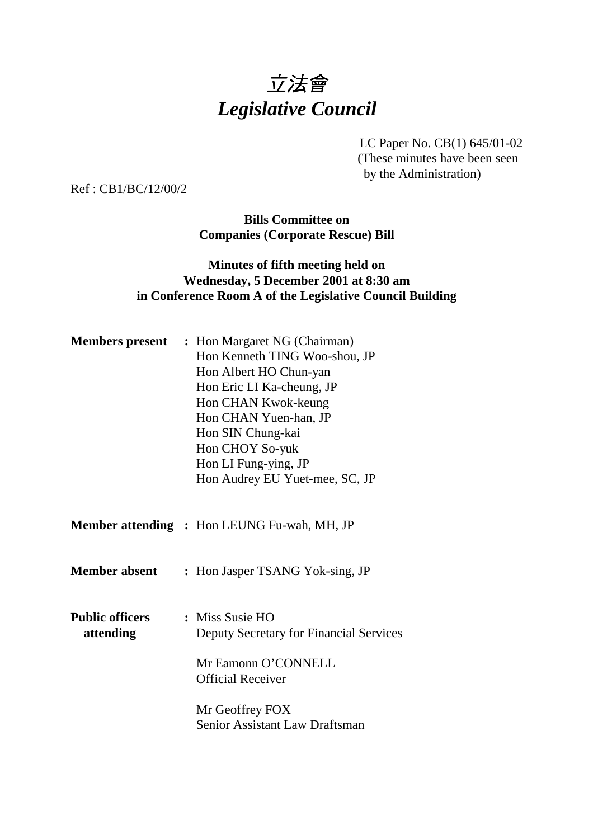# 立法會 *Legislative Council*

LC Paper No. CB(1) 645/01-02 (These minutes have been seen by the Administration)

Ref : CB1/BC/12/00/2

**Bills Committee on Companies (Corporate Rescue) Bill**

#### **Minutes of fifth meeting held on Wednesday, 5 December 2001 at 8:30 am in Conference Room A of the Legislative Council Building**

|                                     | <b>Members present</b> : Hon Margaret NG (Chairman)<br>Hon Kenneth TING Woo-shou, JP<br>Hon Albert HO Chun-yan<br>Hon Eric LI Ka-cheung, JP<br>Hon CHAN Kwok-keung<br>Hon CHAN Yuen-han, JP<br>Hon SIN Chung-kai<br>Hon CHOY So-yuk<br>Hon LI Fung-ying, JP<br>Hon Audrey EU Yuet-mee, SC, JP |
|-------------------------------------|-----------------------------------------------------------------------------------------------------------------------------------------------------------------------------------------------------------------------------------------------------------------------------------------------|
|                                     | <b>Member attending : Hon LEUNG Fu-wah, MH, JP</b>                                                                                                                                                                                                                                            |
| <b>Member absent</b>                | : Hon Jasper TSANG Yok-sing, JP                                                                                                                                                                                                                                                               |
| <b>Public officers</b><br>attending | : Miss Susie HO<br>Deputy Secretary for Financial Services<br>Mr Eamonn O'CONNELL<br><b>Official Receiver</b>                                                                                                                                                                                 |
|                                     | Mr Geoffrey FOX<br>Senior Assistant Law Draftsman                                                                                                                                                                                                                                             |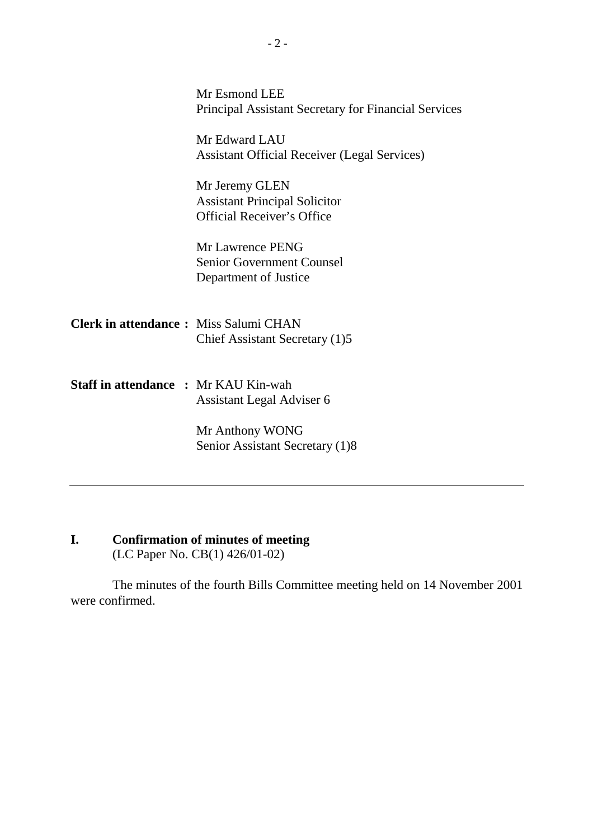|                                              | Mr Esmond LEE<br><b>Principal Assistant Secretary for Financial Services</b>                |
|----------------------------------------------|---------------------------------------------------------------------------------------------|
|                                              | Mr Edward LAU<br><b>Assistant Official Receiver (Legal Services)</b>                        |
|                                              | Mr Jeremy GLEN<br><b>Assistant Principal Solicitor</b><br><b>Official Receiver's Office</b> |
|                                              | Mr Lawrence PENG<br><b>Senior Government Counsel</b><br>Department of Justice               |
| <b>Clerk in attendance:</b> Miss Salumi CHAN | Chief Assistant Secretary (1)5                                                              |
| <b>Staff in attendance : Mr KAU Kin-wah</b>  | Assistant Legal Adviser 6                                                                   |
|                                              | Mr Anthony WONG<br>Senior Assistant Secretary (1)8                                          |

## **I. Confirmation of minutes of meeting**

(LC Paper No. CB(1) 426/01-02)

The minutes of the fourth Bills Committee meeting held on 14 November 2001 were confirmed.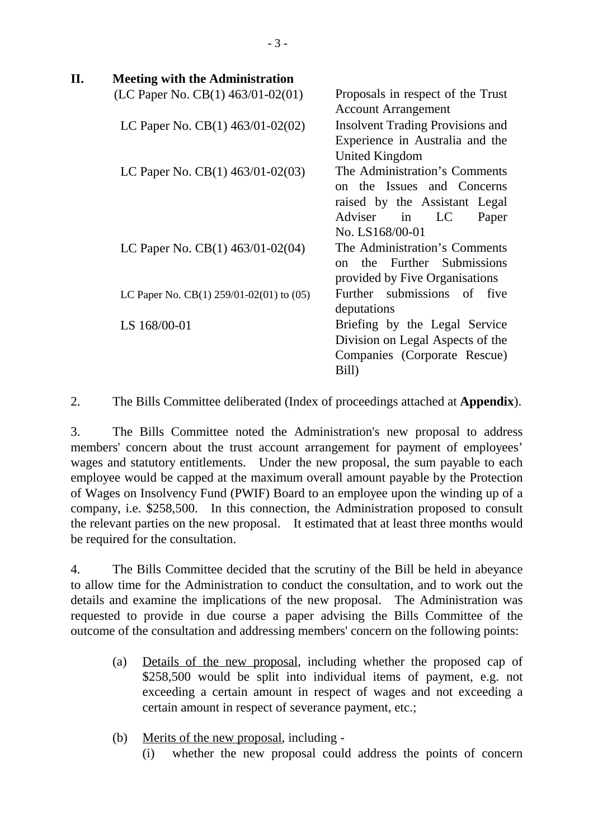| П. | <b>Meeting with the Administration</b>       |                                         |
|----|----------------------------------------------|-----------------------------------------|
|    | (LC Paper No. CB(1) $463/01-02(01)$ —        | Proposals in respect of the Trust       |
|    |                                              | <b>Account Arrangement</b>              |
|    | LC Paper No. CB(1) $463/01 - 02(02)$ —       | <b>Insolvent Trading Provisions and</b> |
|    |                                              | Experience in Australia and the         |
|    |                                              | United Kingdom                          |
|    | LC Paper No. CB(1) $463/01 - 02(03)$ —       | The Administration's Comments           |
|    |                                              | on the Issues and Concerns              |
|    |                                              | raised by the Assistant Legal           |
|    |                                              | Adviser in<br>LC<br>Paper               |
|    |                                              | No. LS168/00-01                         |
|    | LC Paper No. CB(1) $463/01 - 02(04)$ —       | The Administration's Comments           |
|    |                                              | the Further Submissions<br>$\Omega$     |
|    |                                              | provided by Five Organisations          |
|    | LC Paper No. CB(1) 259/01-02(01) to $(05)$ — | Further submissions of five             |
|    |                                              | deputations                             |
|    | LS 168/00-01                                 | Briefing by the Legal Service           |
|    |                                              | Division on Legal Aspects of the        |
|    |                                              | Companies (Corporate Rescue)            |
|    |                                              | Bill)                                   |
|    |                                              |                                         |

2. The Bills Committee deliberated (Index of proceedings attached at **Appendix**).

3. The Bills Committee noted the Administration's new proposal to address members' concern about the trust account arrangement for payment of employees' wages and statutory entitlements. Under the new proposal, the sum payable to each employee would be capped at the maximum overall amount payable by the Protection of Wages on Insolvency Fund (PWIF) Board to an employee upon the winding up of a company, i.e. \$258,500. In this connection, the Administration proposed to consult the relevant parties on the new proposal. It estimated that at least three months would be required for the consultation.

4. The Bills Committee decided that the scrutiny of the Bill be held in abeyance to allow time for the Administration to conduct the consultation, and to work out the details and examine the implications of the new proposal. The Administration was requested to provide in due course a paper advising the Bills Committee of the outcome of the consultation and addressing members' concern on the following points:

- (a) Details of the new proposal, including whether the proposed cap of \$258,500 would be split into individual items of payment, e.g. not exceeding a certain amount in respect of wages and not exceeding a certain amount in respect of severance payment, etc.;
- (b) Merits of the new proposal, including
	- (i) whether the new proposal could address the points of concern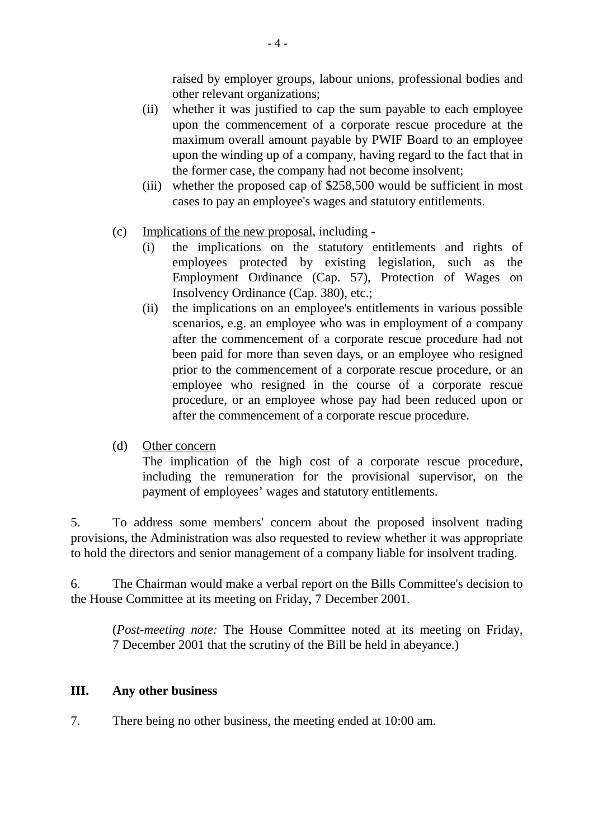raised by employer groups, labour unions, professional bodies and other relevant organizations;

- (ii) whether it was justified to cap the sum payable to each employee upon the commencement of a corporate rescue procedure at the maximum overall amount payable by PWIF Board to an employee upon the winding up of a company, having regard to the fact that in the former case, the company had not become insolvent;
- (iii) whether the proposed cap of \$258,500 would be sufficient in most cases to pay an employee's wages and statutory entitlements.
- (c) Implications of the new proposal, including
	- (i) the implications on the statutory entitlements and rights of employees protected by existing legislation, such as the Employment Ordinance (Cap. 57), Protection of Wages on Insolvency Ordinance (Cap. 380), etc.;
	- (ii) the implications on an employee's entitlements in various possible scenarios, e.g. an employee who was in employment of a company after the commencement of a corporate rescue procedure had not been paid for more than seven days, or an employee who resigned prior to the commencement of a corporate rescue procedure, or an employee who resigned in the course of a corporate rescue procedure, or an employee whose pay had been reduced upon or after the commencement of a corporate rescue procedure.
- (d) Other concern

The implication of the high cost of a corporate rescue procedure, including the remuneration for the provisional supervisor, on the payment of employees' wages and statutory entitlements.

5. To address some members' concern about the proposed insolvent trading provisions, the Administration was also requested to review whether it was appropriate to hold the directors and senior management of a company liable for insolvent trading.

6. The Chairman would make a verbal report on the Bills Committee's decision to the House Committee at its meeting on Friday, 7 December 2001.

(*Post-meeting note:* The House Committee noted at its meeting on Friday, 7 December 2001 that the scrutiny of the Bill be held in abeyance.)

#### **III. Any other business**

7. There being no other business, the meeting ended at 10:00 am.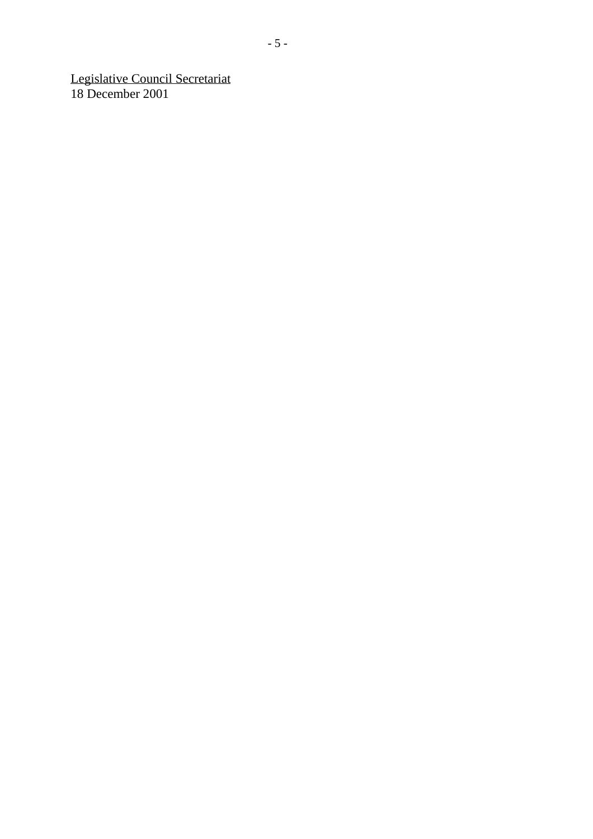Legislative Council Secretariat 18 December 2001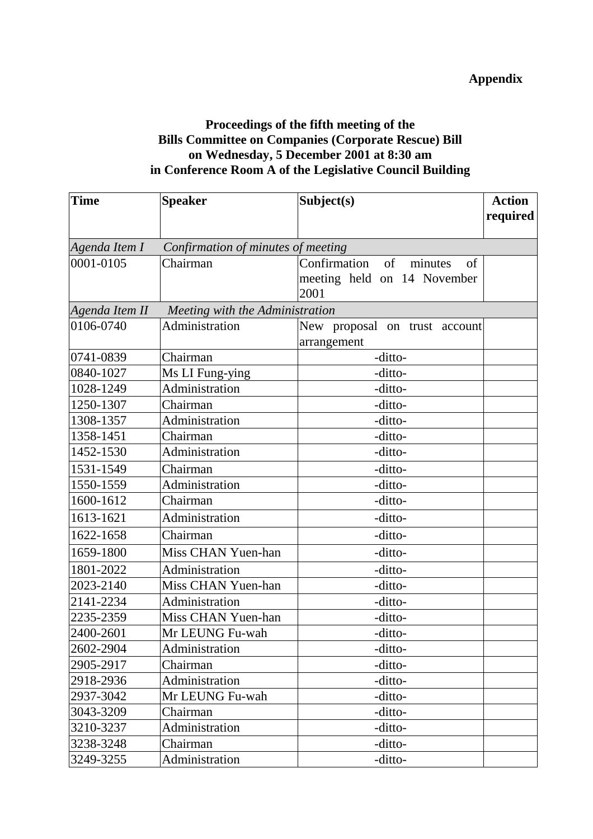### **Proceedings of the fifth meeting of the Bills Committee on Companies (Corporate Rescue) Bill on Wednesday, 5 December 2001 at 8:30 am in Conference Room A of the Legislative Council Building**

| <b>Time</b> | <b>Speaker</b>                                       | Subject(s)                       | <b>Action</b> |
|-------------|------------------------------------------------------|----------------------------------|---------------|
|             |                                                      |                                  | required      |
|             | Agenda Item $I$ — Confirmation of minutes of meeting |                                  |               |
| 0001-0105   | Chairman                                             | Confirmation of<br>minutes<br>of |               |
|             |                                                      | meeting held on 14 November      |               |
|             |                                                      | 2001                             |               |
|             | Agenda Item $II$ — Meeting with the Administration   |                                  |               |
| 0106-0740   | Administration                                       | New proposal on trust account    |               |
|             |                                                      | arrangement                      |               |
| 0741-0839   | Chairman                                             | -ditto-                          |               |
| 0840-1027   | Ms LI Fung-ying                                      | -ditto-                          |               |
| 1028-1249   | Administration                                       | -ditto-                          |               |
| 1250-1307   | Chairman                                             | -ditto-                          |               |
| 1308-1357   | Administration                                       | -ditto-                          |               |
| 1358-1451   | Chairman                                             | -ditto-                          |               |
| 1452-1530   | Administration                                       | -ditto-                          |               |
| 1531-1549   | Chairman                                             | -ditto-                          |               |
| 1550-1559   | Administration                                       | -ditto-                          |               |
| 1600-1612   | Chairman                                             | -ditto-                          |               |
| 1613-1621   | Administration                                       | -ditto-                          |               |
| 1622-1658   | Chairman                                             | -ditto-                          |               |
| 1659-1800   | Miss CHAN Yuen-han                                   | -ditto-                          |               |
| 1801-2022   | Administration                                       | -ditto-                          |               |
| 2023-2140   | Miss CHAN Yuen-han                                   | -ditto-                          |               |
| 2141-2234   | Administration                                       | -ditto-                          |               |
| 2235-2359   | Miss CHAN Yuen-han                                   | -ditto-                          |               |
| 2400-2601   | Mr LEUNG Fu-wah                                      | -ditto-                          |               |
| 2602-2904   | Administration                                       | -ditto-                          |               |
| 2905-2917   | Chairman                                             | -ditto-                          |               |
| 2918-2936   | Administration                                       | -ditto-                          |               |
| 2937-3042   | Mr LEUNG Fu-wah                                      | -ditto-                          |               |
| 3043-3209   | Chairman                                             | -ditto-                          |               |
| 3210-3237   | Administration                                       | -ditto-                          |               |
| 3238-3248   | Chairman                                             | -ditto-                          |               |
| 3249-3255   | Administration                                       | -ditto-                          |               |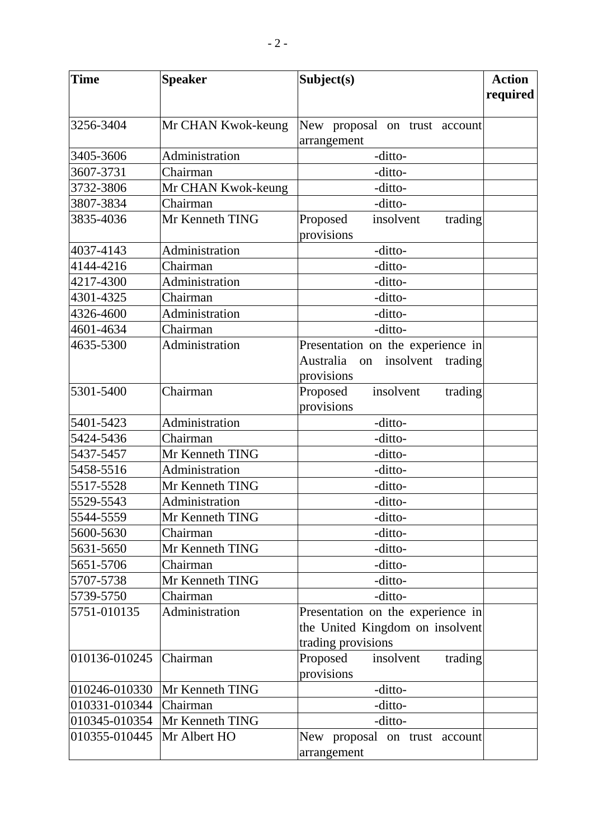| <b>Time</b>   | <b>Speaker</b>     | Subject(s)                                     | <b>Action</b> |
|---------------|--------------------|------------------------------------------------|---------------|
|               |                    |                                                | required      |
|               |                    |                                                |               |
| 3256-3404     | Mr CHAN Kwok-keung | New proposal on trust account                  |               |
|               |                    | arrangement                                    |               |
| 3405-3606     | Administration     | -ditto-                                        |               |
| 3607-3731     | Chairman           | -ditto-                                        |               |
| 3732-3806     | Mr CHAN Kwok-keung | -ditto-                                        |               |
| 3807-3834     | Chairman           | -ditto-                                        |               |
| 3835-4036     | Mr Kenneth TING    | Proposed<br>insolvent<br>trading<br>provisions |               |
| 4037-4143     | Administration     | -ditto-                                        |               |
| 4144-4216     | Chairman           | -ditto-                                        |               |
| 4217-4300     | Administration     | -ditto-                                        |               |
| 4301-4325     | Chairman           | -ditto-                                        |               |
| 4326-4600     | Administration     | -ditto-                                        |               |
| 4601-4634     | Chairman           | -ditto-                                        |               |
| 4635-5300     | Administration     | Presentation on the experience in              |               |
|               |                    | Australia<br>on insolvent trading              |               |
|               |                    | provisions                                     |               |
| 5301-5400     | Chairman           | Proposed<br>insolvent<br>trading               |               |
|               |                    | provisions                                     |               |
| 5401-5423     | Administration     | -ditto-                                        |               |
| 5424-5436     | Chairman           | -ditto-                                        |               |
| 5437-5457     | Mr Kenneth TING    | -ditto-                                        |               |
| 5458-5516     | Administration     | -ditto-                                        |               |
| 5517-5528     | Mr Kenneth TING    | -ditto-                                        |               |
| 5529-5543     | Administration     | -ditto-                                        |               |
| 5544-5559     | Mr Kenneth TING    | -ditto-                                        |               |
| 5600-5630     | Chairman           | -ditto-                                        |               |
| 5631-5650     | Mr Kenneth TING    | -ditto-                                        |               |
| 5651-5706     | Chairman           | -ditto-                                        |               |
| 5707-5738     | Mr Kenneth TING    | -ditto-                                        |               |
| 5739-5750     | Chairman           | -ditto-                                        |               |
| 5751-010135   | Administration     | Presentation on the experience in              |               |
|               |                    | the United Kingdom on insolvent                |               |
|               |                    | trading provisions                             |               |
| 010136-010245 | Chairman           | Proposed<br>insolvent<br>trading               |               |
|               |                    | provisions                                     |               |
| 010246-010330 | Mr Kenneth TING    | -ditto-                                        |               |
| 010331-010344 | Chairman           | -ditto-                                        |               |
| 010345-010354 | Mr Kenneth TING    | -ditto-                                        |               |
| 010355-010445 | Mr Albert HO       | New proposal on trust account<br>arrangement   |               |